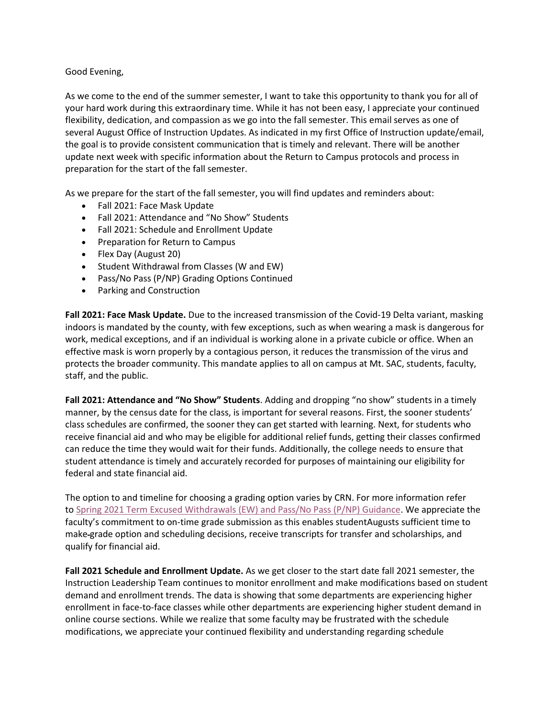## Good Evening,

 As we come to the end of the summer semester, I want to take this opportunity to thank you for all of your hard work during this extraordinary time. While it has not been easy, I appreciate your continued flexibility, dedication, and compassion as we go into the fall semester. This email serves as one of several August Office of Instruction Updates. As indicated in my first Office of Instruction update/email, the goal is to provide consistent communication that is timely and relevant. There will be another update next week with specific information about the Return to Campus protocols and process in preparation for the start of the fall semester.

As we prepare for the start of the fall semester, you will find updates and reminders about:

- Fall 2021: Face Mask Update
- Fall 2021: Attendance and "No Show" Students
- Fall 2021: Schedule and Enrollment Update
- Preparation for Return to Campus
- Flex Day (August 20)
- Student Withdrawal from Classes (W and EW)
- Pass/No Pass (P/NP) Grading Options Continued
- Parking and Construction

**Fall 2021: Face Mask Update.** Due to the increased transmission of the Covid-19 Delta variant, masking indoors is mandated by the county, with few exceptions, such as when wearing a mask is dangerous for work, medical exceptions, and if an individual is working alone in a private cubicle or office. When an effective mask is worn properly by a contagious person, it reduces the transmission of the virus and protects the broader community. This mandate applies to all on campus at Mt. SAC, students, faculty, staff, and the public.

**Fall 2021: Attendance and "No Show" Students**. Adding and dropping "no show" students in a timely manner, by the census date for the class, is important for several reasons. First, the sooner students' class schedules are confirmed, the sooner they can get started with learning. Next, for students who receive financial aid and who may be eligible for additional relief funds, getting their classes confirmed can reduce the time they would wait for their funds. Additionally, the college needs to ensure that student attendance is timely and accurately recorded for purposes of maintaining our eligibility for federal and state financial aid.

The option to and timeline for choosing a grading option varies by CRN. For more information refer to [Spring 2021 Term Excused Withdrawals \(EW\) and Pass/No Pass \(P/NP\) Guidance.](https://nam12.safelinks.protection.outlook.com/?url=https%3A%2F%2Fwww.mtsac.edu%2Fgovernance%2Facademicsenate%2Fcurrent_issues%2F2021%2FEW_P_NP_policy_Spring2021.pdf&data=04%7C01%7Clmartinez%40mtsac.edu%7Cbefba278d9664a8a0a1408d95ebe09dc%7Ccc4d4bf20a9e4240aedea7d1d688f935%7C0%7C0%7C637644992561394153%7CUnknown%7CTWFpbGZsb3d8eyJWIjoiMC4wLjAwMDAiLCJQIjoiV2luMzIiLCJBTiI6Ik1haWwiLCJXVCI6Mn0%3D%7C1000&sdata=v3yJjHIbAgof2s6E5XgtGWnJsvkD4ppKwduLJaUqFm0%3D&reserved=0) We appreciate the faculty's commitment to on-time grade submission as this enables studentAugusts sufficient time to make grade option and scheduling decisions, receive transcripts for transfer and scholarships, and qualify for financial aid.

**Fall 2021 Schedule and Enrollment Update.** As we get closer to the start date fall 2021 semester, the Instruction Leadership Team continues to monitor enrollment and make modifications based on student demand and enrollment trends. The data is showing that some departments are experiencing higher enrollment in face-to-face classes while other departments are experiencing higher student demand in online course sections. While we realize that some faculty may be frustrated with the schedule modifications, we appreciate your continued flexibility and understanding regarding schedule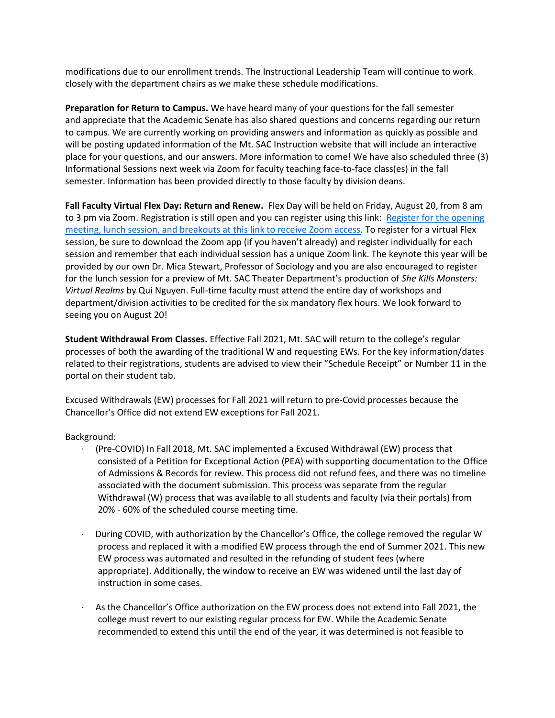modifications due to our enrollment trends. The Instructional Leadership Team will continue to work closely with the department chairs as we make these schedule modifications.

**Preparation for Return to Campus.** We have heard many of your questions for the fall semester and appreciate that the Academic Senate has also shared questions and concerns regarding our return to campus. We are currently working on providing answers and information as quickly as possible and will be posting updated information of the Mt. SAC Instruction website that will include an interactive place for your questions, and our answers. More information to come! We have also scheduled three (3) Informational Sessions next week via Zoom for faculty teaching face-to-face class(es) in the fall semester. Information has been provided directly to those faculty by division deans.

 **Fall Faculty Virtual Flex Day: Return and Renew.** Flex Day will be held on Friday, August 20, from 8 am to 3 pm via Zoom. Registration is still open and you can register using this link: Register for the opening provided by our own Dr. Mica Stewart, Professor of Sociology and you are also encouraged to register [meeting, lunch session, and breakouts at this link to receive Zoom access.](https://nam12.safelinks.protection.outlook.com/?url=https%3A%2F%2Fwww.mtsac.edu%2Fpod%2Fprograms%2Fflex-day%2Fflex-day-fall-2021.html&data=04%7C01%7Clmartinez%40mtsac.edu%7Cbefba278d9664a8a0a1408d95ebe09dc%7Ccc4d4bf20a9e4240aedea7d1d688f935%7C0%7C0%7C637644992561404104%7CUnknown%7CTWFpbGZsb3d8eyJWIjoiMC4wLjAwMDAiLCJQIjoiV2luMzIiLCJBTiI6Ik1haWwiLCJXVCI6Mn0%3D%7C1000&sdata=wrkvS5aSfb%2BNZmHDcxPONkoiPe5sofVOIjpsqQwh0DI%3D&reserved=0) To register for a virtual Flex session, be sure to download the Zoom app (if you haven't already) and register individually for each session and remember that each individual session has a unique Zoom link. The keynote this year will be for the lunch session for a preview of Mt. SAC Theater Department's production of *She Kills Monsters: Virtual Realms* by Qui Nguyen. Full-time faculty must attend the entire day of workshops and department/division activities to be credited for the six mandatory flex hours. We look forward to seeing you on August 20!

**Student Withdrawal From Classes.** Effective Fall 2021, Mt. SAC will return to the college's regular processes of both the awarding of the traditional W and requesting EWs. For the key information/dates related to their registrations, students are advised to view their "Schedule Receipt" or Number 11 in the portal on their student tab.

Excused Withdrawals (EW) processes for Fall 2021 will return to pre-Covid processes because the Chancellor's Office did not extend EW exceptions for Fall 2021.

Background:

- (Pre-COVID) In Fall 2018, Mt. SAC implemented a Excused Withdrawal (EW) process that consisted of a Petition for Exceptional Action (PEA) with supporting documentation to the Office of Admissions & Records for review. This process did not refund fees, and there was no timeline associated with the document submission. This process was separate from the regular Withdrawal (W) process that was available to all students and faculty (via their portals) from 20% - 60% of the scheduled course meeting time.
- · During COVID, with authorization by the Chancellor's Office, the college removed the regular W process and replaced it with a modified EW process through the end of Summer 2021. This new EW process was automated and resulted in the refunding of student fees (where appropriate). Additionally, the window to receive an EW was widened until the last day of instruction in some cases.
- · As the Chancellor's Office authorization on the EW process does not extend into Fall 2021, the college must revert to our existing regular process for EW. While the Academic Senate recommended to extend this until the end of the year, it was determined is not feasible to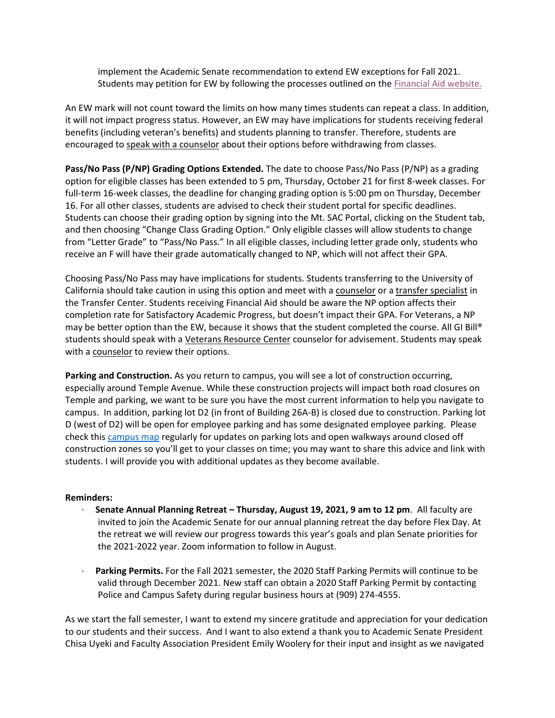implement the Academic Senate recommendation to extend EW exceptions for Fall 2021. Students may petition for EW by following the processes outlined on th[e Financial Aid website.](https://nam12.safelinks.protection.outlook.com/?url=https%3A%2F%2Fwww.mtsac.edu%2Ffinancialaid%2Fhelp%2Fexcused_withdrawls.html&data=04%7C01%7Clmartinez%40mtsac.edu%7Cbefba278d9664a8a0a1408d95ebe09dc%7Ccc4d4bf20a9e4240aedea7d1d688f935%7C0%7C0%7C637644992561404104%7CUnknown%7CTWFpbGZsb3d8eyJWIjoiMC4wLjAwMDAiLCJQIjoiV2luMzIiLCJBTiI6Ik1haWwiLCJXVCI6Mn0%3D%7C1000&sdata=yZCoCG2oA7cVV47K8u7oMW6GnsSfRf0%2FHaO2A8iwI1k%3D&reserved=0) 

An EW mark will not count toward the limits on how many times students can repeat a class. In addition, it will not impact progress status. However, an EW may have implications for students receiving federal benefits (including veteran's benefits) and students planning to transfer. Therefore, students are encouraged t[o speak with a counselor](https://nam12.safelinks.protection.outlook.com/?url=https%3A%2F%2Fwww.mtsac.edu%2Fcounseling%2F&data=04%7C01%7Clmartinez%40mtsac.edu%7Cbefba278d9664a8a0a1408d95ebe09dc%7Ccc4d4bf20a9e4240aedea7d1d688f935%7C0%7C0%7C637644992561414055%7CUnknown%7CTWFpbGZsb3d8eyJWIjoiMC4wLjAwMDAiLCJQIjoiV2luMzIiLCJBTiI6Ik1haWwiLCJXVCI6Mn0%3D%7C1000&sdata=kKQvWoqt%2FBsrvvjb1SP6399pBLrlKM0tkhdjweuewfY%3D&reserved=0) about their options before withdrawing from classes.

**Pass/No Pass (P/NP) Grading Options Extended.** The date to choose Pass/No Pass (P/NP) as a grading option for eligible classes has been extended to 5 pm, Thursday, October 21 for first 8-week classes. For full-term 16-week classes, the deadline for changing grading option is 5:00 pm on Thursday, December 16. For all other classes, students are advised to check their student portal for specific deadlines. Students can choose their grading option by signing into the Mt. SAC Portal, clicking on the Student tab, and then choosing "Change Class Grading Option." Only eligible classes will allow students to change from "Letter Grade" to "Pass/No Pass." In all eligible classes, including letter grade only, students who receive an F will have their grade automatically changed to NP, which will not affect their GPA.

California should take caution in using this option and meet with a [counselor o](https://nam12.safelinks.protection.outlook.com/?url=https%3A%2F%2Fwww.mtsac.edu%2Fcounseling%2F&data=04%7C01%7Clmartinez%40mtsac.edu%7Cbefba278d9664a8a0a1408d95ebe09dc%7Ccc4d4bf20a9e4240aedea7d1d688f935%7C0%7C0%7C637644992561414055%7CUnknown%7CTWFpbGZsb3d8eyJWIjoiMC4wLjAwMDAiLCJQIjoiV2luMzIiLCJBTiI6Ik1haWwiLCJXVCI6Mn0%3D%7C1000&sdata=kKQvWoqt%2FBsrvvjb1SP6399pBLrlKM0tkhdjweuewfY%3D&reserved=0)r [a transfer specialist](https://nam12.safelinks.protection.outlook.com/?url=https%3A%2F%2Fwww.mtsac.edu%2Ftransfer%2F&data=04%7C01%7Clmartinez%40mtsac.edu%7Cbefba278d9664a8a0a1408d95ebe09dc%7Ccc4d4bf20a9e4240aedea7d1d688f935%7C0%7C0%7C637644992561414055%7CUnknown%7CTWFpbGZsb3d8eyJWIjoiMC4wLjAwMDAiLCJQIjoiV2luMzIiLCJBTiI6Ik1haWwiLCJXVCI6Mn0%3D%7C1000&sdata=yqnUZAIOynERqsxdjqi0jkh061npb%2FN96FHAmVpn0l8%3D&reserved=0) in Choosing Pass/No Pass may have implications for students. Students transferring to the University of the Transfer Center. Students receiving Financial Aid should be aware the NP option affects their completion rate for Satisfactory Academic Progress, but doesn't impact their GPA. For Veterans, a NP may be better option than the EW, because it shows that the student completed the course. All GI Bill® students should speak with a [Veterans Resource Center](https://nam12.safelinks.protection.outlook.com/?url=https%3A%2F%2Fwww.mtsac.edu%2Fveterans%2F&data=04%7C01%7Clmartinez%40mtsac.edu%7Cbefba278d9664a8a0a1408d95ebe09dc%7Ccc4d4bf20a9e4240aedea7d1d688f935%7C0%7C0%7C637644992561424004%7CUnknown%7CTWFpbGZsb3d8eyJWIjoiMC4wLjAwMDAiLCJQIjoiV2luMzIiLCJBTiI6Ik1haWwiLCJXVCI6Mn0%3D%7C1000&sdata=J3XtuinJ%2BnK6CC3BFqTMF5uxKGyonNcr0ATsykMiErY%3D&reserved=0) counselor for advisement. Students may speak with a [counselor](https://nam12.safelinks.protection.outlook.com/?url=https%3A%2F%2Fwww.mtsac.edu%2Fcounseling%2F&data=04%7C01%7Clmartinez%40mtsac.edu%7Cbefba278d9664a8a0a1408d95ebe09dc%7Ccc4d4bf20a9e4240aedea7d1d688f935%7C0%7C0%7C637644992561424004%7CUnknown%7CTWFpbGZsb3d8eyJWIjoiMC4wLjAwMDAiLCJQIjoiV2luMzIiLCJBTiI6Ik1haWwiLCJXVCI6Mn0%3D%7C1000&sdata=z2icC1tPLw3wQoYZ3S8TYqzHPnawYGCVvj1vRRo5yDg%3D&reserved=0) to review their options.

 Temple and parking, we want to be sure you have the most current information to help you navigate to construction zones so you'll get to your classes on time; you may want to share this advice and link with **Parking and Construction.** As you return to campus, you will see a lot of construction occurring, especially around Temple Avenue. While these construction projects will impact both road closures on campus. In addition, parking lot D2 (in front of Building 26A-B) is closed due to construction. Parking lot D (west of D2) will be open for employee parking and has some designated employee parking. Please check this [campus map](https://nam12.safelinks.protection.outlook.com/?url=https%3A%2F%2Fwww.mtsac.edu%2Fmaps%2F&data=04%7C01%7Clmartinez%40mtsac.edu%7Cbefba278d9664a8a0a1408d95ebe09dc%7Ccc4d4bf20a9e4240aedea7d1d688f935%7C0%7C0%7C637644992561424004%7CUnknown%7CTWFpbGZsb3d8eyJWIjoiMC4wLjAwMDAiLCJQIjoiV2luMzIiLCJBTiI6Ik1haWwiLCJXVCI6Mn0%3D%7C1000&sdata=YamqH4UVOV4txlFHS93F5zHI7QumVE%2FtwUfy5%2BoVcIY%3D&reserved=0) regularly for updates on parking lots and open walkways around closed off students. I will provide you with additional updates as they become available.

## **Reminders:**

- · **Senate Annual Planning Retreat – Thursday, August 19, 2021, 9 am to 12 pm**. All faculty are invited to join the Academic Senate for our annual planning retreat the day before Flex Day. At the retreat we will review our progress towards this year's goals and plan Senate priorities for the 2021-2022 year. Zoom information to follow in August.
- · **Parking Permits.** For the Fall 2021 semester, the 2020 Staff Parking Permits will continue to be valid through December 2021. New staff can obtain a 2020 Staff Parking Permit by contacting Police and Campus Safety during regular business hours at (909) 274-4555.

 Chisa Uyeki and Faculty Association President Emily Woolery for their input and insight as we navigated As we start the fall semester, I want to extend my sincere gratitude and appreciation for your dedication to our students and their success. And I want to also extend a thank you to Academic Senate President